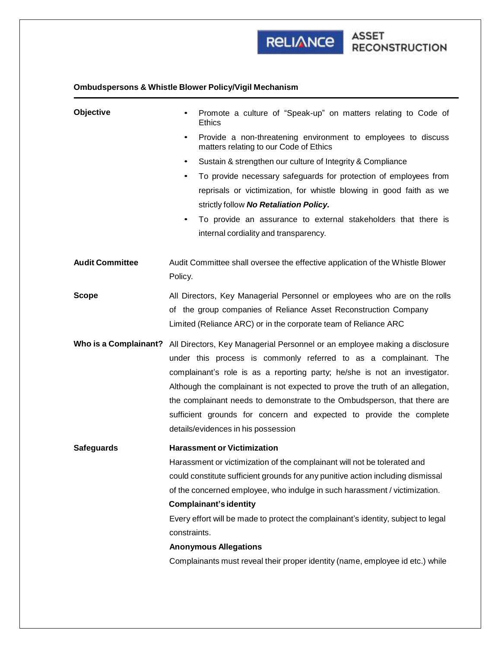

### **Ombudspersons & Whistle Blower Policy/Vigil Mechanism**

| Objective              | Promote a culture of "Speak-up" on matters relating to Code of<br><b>Ethics</b>                                                                                                                                                                                                                                                                                                                                                                                                                                               |
|------------------------|-------------------------------------------------------------------------------------------------------------------------------------------------------------------------------------------------------------------------------------------------------------------------------------------------------------------------------------------------------------------------------------------------------------------------------------------------------------------------------------------------------------------------------|
|                        | Provide a non-threatening environment to employees to discuss<br>٠<br>matters relating to our Code of Ethics                                                                                                                                                                                                                                                                                                                                                                                                                  |
|                        | Sustain & strengthen our culture of Integrity & Compliance<br>٠                                                                                                                                                                                                                                                                                                                                                                                                                                                               |
|                        | To provide necessary safeguards for protection of employees from                                                                                                                                                                                                                                                                                                                                                                                                                                                              |
|                        | reprisals or victimization, for whistle blowing in good faith as we                                                                                                                                                                                                                                                                                                                                                                                                                                                           |
|                        | strictly follow No Retaliation Policy.                                                                                                                                                                                                                                                                                                                                                                                                                                                                                        |
|                        | To provide an assurance to external stakeholders that there is<br>٠                                                                                                                                                                                                                                                                                                                                                                                                                                                           |
|                        | internal cordiality and transparency.                                                                                                                                                                                                                                                                                                                                                                                                                                                                                         |
| <b>Audit Committee</b> | Audit Committee shall oversee the effective application of the Whistle Blower<br>Policy.                                                                                                                                                                                                                                                                                                                                                                                                                                      |
| <b>Scope</b>           | All Directors, Key Managerial Personnel or employees who are on the rolls<br>of the group companies of Reliance Asset Reconstruction Company<br>Limited (Reliance ARC) or in the corporate team of Reliance ARC                                                                                                                                                                                                                                                                                                               |
|                        | Who is a Complainant? All Directors, Key Managerial Personnel or an employee making a disclosure<br>under this process is commonly referred to as a complainant. The<br>complainant's role is as a reporting party; he/she is not an investigator.<br>Although the complainant is not expected to prove the truth of an allegation,<br>the complainant needs to demonstrate to the Ombudsperson, that there are<br>sufficient grounds for concern and expected to provide the complete<br>details/evidences in his possession |
| <b>Safeguards</b>      | <b>Harassment or Victimization</b>                                                                                                                                                                                                                                                                                                                                                                                                                                                                                            |
|                        | Harassment or victimization of the complainant will not be tolerated and                                                                                                                                                                                                                                                                                                                                                                                                                                                      |
|                        | could constitute sufficient grounds for any punitive action including dismissal                                                                                                                                                                                                                                                                                                                                                                                                                                               |
|                        | of the concerned employee, who indulge in such harassment / victimization.                                                                                                                                                                                                                                                                                                                                                                                                                                                    |
|                        | <b>Complainant's identity</b>                                                                                                                                                                                                                                                                                                                                                                                                                                                                                                 |
|                        | Every effort will be made to protect the complainant's identity, subject to legal<br>constraints.                                                                                                                                                                                                                                                                                                                                                                                                                             |
|                        | <b>Anonymous Allegations</b>                                                                                                                                                                                                                                                                                                                                                                                                                                                                                                  |
|                        |                                                                                                                                                                                                                                                                                                                                                                                                                                                                                                                               |
|                        | Complainants must reveal their proper identity (name, employee id etc.) while                                                                                                                                                                                                                                                                                                                                                                                                                                                 |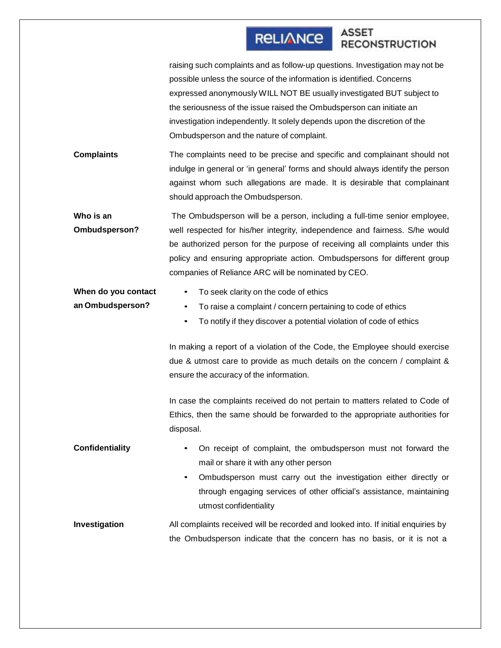# **RELIANCE**

#### **ASSET RECONSTRUCTION**

| raising such complaints and as follow-up questions. Investigation may not be |
|------------------------------------------------------------------------------|
| possible unless the source of the information is identified. Concerns        |
| expressed anonymously WILL NOT BE usually investigated BUT subject to        |
| the seriousness of the issue raised the Ombudsperson can initiate an         |
| investigation independently. It solely depends upon the discretion of the    |
| Ombudsperson and the nature of complaint.                                    |

**Complaints** The complaints need to be precise and specific and complainant should not indulge in general or 'in general' forms and should always identify the person against whom such allegations are made. It is desirable that complainant should approach the Ombudsperson.

**Who is an Ombudsperson?** The Ombudsperson will be a person, including a full-time senior employee, well respected for his/her integrity, independence and fairness. S/he would be authorized person for the purpose of receiving all complaints under this policy and ensuring appropriate action. Ombudspersons for different group companies of Reliance ARC will be nominated by CEO.

| When do you contact | To seek clarity on the code of ethics                              |
|---------------------|--------------------------------------------------------------------|
| an Ombudsperson?    | To raise a complaint / concern pertaining to code of ethics        |
|                     | To notify if they discover a potential violation of code of ethics |

In making a report of a violation of the Code, the Employee should exercise due & utmost care to provide as much details on the concern / complaint & ensure the accuracy of the information.

In case the complaints received do not pertain to matters related to Code of Ethics, then the same should be forwarded to the appropriate authorities for disposal.

**Confidentiality** • On receipt of complaint, the ombudsperson must not forward the mail or share it with any other person • Ombudsperson must carry out the investigation either directly or through engaging services of other official's assistance, maintaining utmost confidentiality

**Investigation** All complaints received will be recorded and looked into. If initial enquiries by the Ombudsperson indicate that the concern has no basis, or it is not a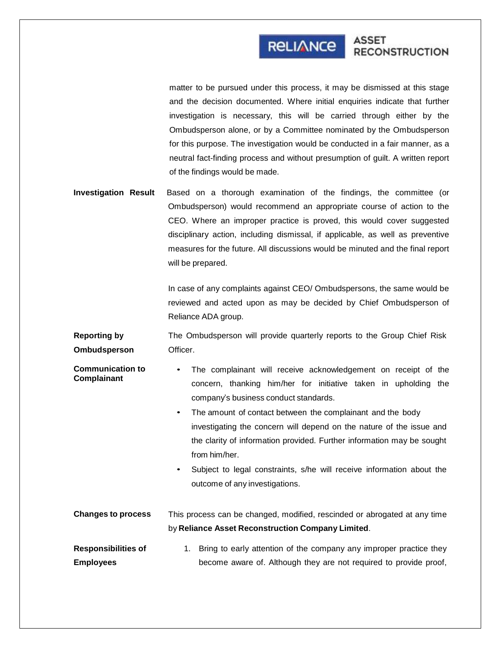RELIANCE ASSET

matter to be pursued under this process, it may be dismissed at this stage and the decision documented. Where initial enquiries indicate that further investigation is necessary, this will be carried through either by the Ombudsperson alone, or by a Committee nominated by the Ombudsperson for this purpose. The investigation would be conducted in a fair manner, as a neutral fact-finding process and without presumption of guilt. A written report of the findings would be made.

**Investigation Result** Based on a thorough examination of the findings, the committee (or Ombudsperson) would recommend an appropriate course of action to the CEO. Where an improper practice is proved, this would cover suggested disciplinary action, including dismissal, if applicable, as well as preventive measures for the future. All discussions would be minuted and the final report will be prepared.

> In case of any complaints against CEO/ Ombudspersons, the same would be reviewed and acted upon as may be decided by Chief Ombudsperson of Reliance ADA group.

**Reporting by Ombudsperson** The Ombudsperson will provide quarterly reports to the Group Chief Risk Officer.

- **Communication to Complainant** The complainant will receive acknowledgement on receipt of the concern, thanking him/her for initiative taken in upholding the company's business conduct standards.
	- The amount of contact between the complainant and the body investigating the concern will depend on the nature of the issue and the clarity of information provided. Further information may be sought from him/her.
		- Subject to legal constraints, s/he will receive information about the outcome of any investigations.

**Changes to process** This process can be changed, modified, rescinded or abrogated at any time by **Reliance Asset Reconstruction Company Limited**.

**Responsibilities of Employees** 1. Bring to early attention of the company any improper practice they become aware of. Although they are not required to provide proof,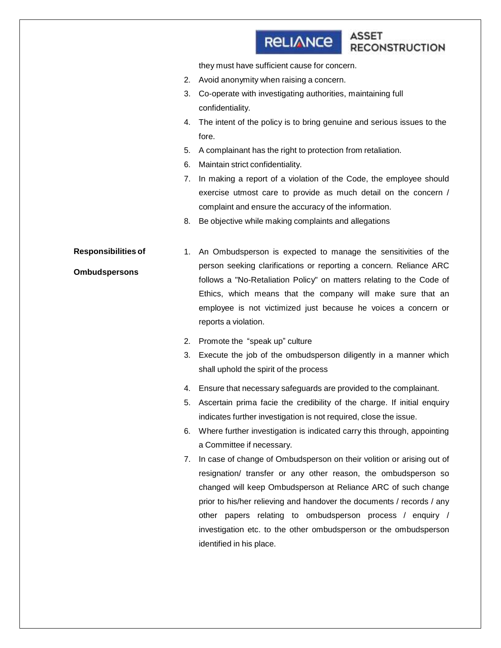## **RELIANCE**

ASSET<br>RECONSTRUCTION

they must have sufficient cause for concern.

- 2. Avoid anonymity when raising a concern.
- 3. Co-operate with investigating authorities, maintaining full confidentiality.
- 4. The intent of the policy is to bring genuine and serious issues to the fore.
- 5. A complainant has the right to protection from retaliation.
- 6. Maintain strict confidentiality.
- 7. In making a report of a violation of the Code, the employee should exercise utmost care to provide as much detail on the concern / complaint and ensure the accuracy of the information.
- 8. Be objective while making complaints and allegations
- **Responsibilities of Ombudspersons** 1. An Ombudsperson is expected to manage the sensitivities of the person seeking clarifications or reporting a concern. Reliance ARC follows a "No-Retaliation Policy" on matters relating to the Code of Ethics, which means that the company will make sure that an employee is not victimized just because he voices a concern or reports a violation.
	- 2. Promote the "speak up" culture
	- 3. Execute the job of the ombudsperson diligently in a manner which shall uphold the spirit of the process
	- 4. Ensure that necessary safeguards are provided to the complainant.
	- 5. Ascertain prima facie the credibility of the charge. If initial enquiry indicates further investigation is not required, close the issue.
	- 6. Where further investigation is indicated carry this through, appointing a Committee if necessary.
	- 7. In case of change of Ombudsperson on their volition or arising out of resignation/ transfer or any other reason, the ombudsperson so changed will keep Ombudsperson at Reliance ARC of such change prior to his/her relieving and handover the documents / records / any other papers relating to ombudsperson process / enquiry / investigation etc. to the other ombudsperson or the ombudsperson identified in his place.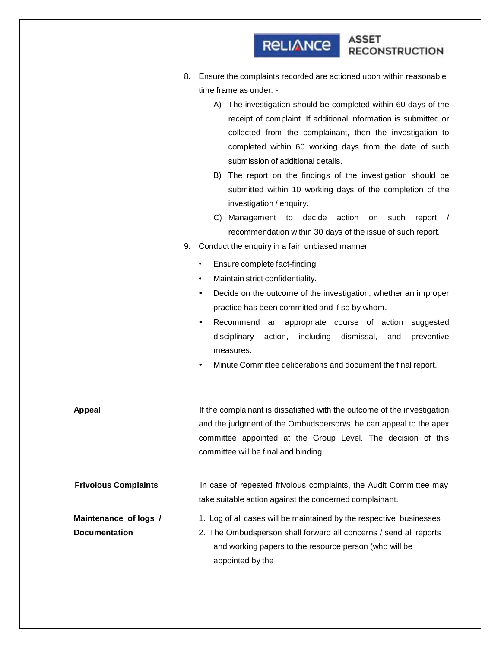|                                               | <b>ASSET</b><br><b>RELIANCE</b><br><b>RECONSTRUCTION</b>                                                                                                                                                                                                                                                                                                                                                                                                                                                                                                                                                                                                                                   |
|-----------------------------------------------|--------------------------------------------------------------------------------------------------------------------------------------------------------------------------------------------------------------------------------------------------------------------------------------------------------------------------------------------------------------------------------------------------------------------------------------------------------------------------------------------------------------------------------------------------------------------------------------------------------------------------------------------------------------------------------------------|
|                                               | Ensure the complaints recorded are actioned upon within reasonable<br>8.<br>time frame as under: -<br>A) The investigation should be completed within 60 days of the<br>receipt of complaint. If additional information is submitted or<br>collected from the complainant, then the investigation to<br>completed within 60 working days from the date of such<br>submission of additional details.<br>The report on the findings of the investigation should be<br>B)<br>submitted within 10 working days of the completion of the<br>investigation / enquiry.<br>action<br>Management to decide<br>C)<br>on such<br>report<br>recommendation within 30 days of the issue of such report. |
|                                               | Conduct the enquiry in a fair, unbiased manner<br>9.<br>Ensure complete fact-finding.<br>$\bullet$<br>Maintain strict confidentiality.<br>٠<br>Decide on the outcome of the investigation, whether an improper<br>$\bullet$<br>practice has been committed and if so by whom.<br>Recommend an appropriate course of action<br>suggested<br>$\bullet$<br>disciplinary<br>action,<br>including<br>dismissal,<br>preventive<br>and<br>measures.<br>Minute Committee deliberations and document the final report.<br>$\bullet$                                                                                                                                                                 |
| <b>Appeal</b>                                 | If the complainant is dissatisfied with the outcome of the investigation<br>and the judgment of the Ombudsperson/s he can appeal to the apex<br>committee appointed at the Group Level. The decision of this<br>committee will be final and binding                                                                                                                                                                                                                                                                                                                                                                                                                                        |
| <b>Frivolous Complaints</b>                   | In case of repeated frivolous complaints, the Audit Committee may<br>take suitable action against the concerned complainant.                                                                                                                                                                                                                                                                                                                                                                                                                                                                                                                                                               |
| Maintenance of logs /<br><b>Documentation</b> | 1. Log of all cases will be maintained by the respective businesses<br>2. The Ombudsperson shall forward all concerns / send all reports<br>and working papers to the resource person (who will be<br>appointed by the                                                                                                                                                                                                                                                                                                                                                                                                                                                                     |